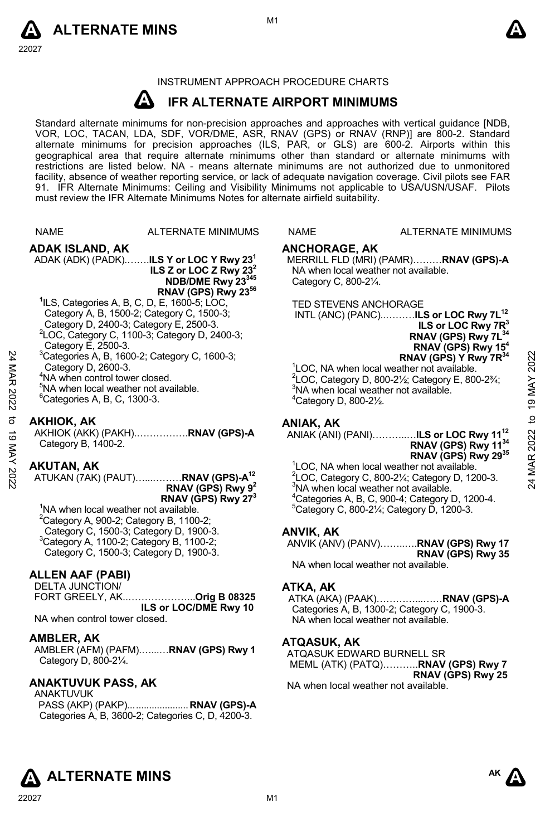



#### INSTRUMENT APPROACH PROCEDURE CHARTS

#### **A IFR ALTERNATE AIRPORT MINIMUMS**

Standard alternate minimums for non-precision approaches and approaches with vertical guidance [NDB,<br>VOR, LOC, TACAN, LDA, SDF, VOR/DME, ASR, RNAV (GPS) or RNAV (RNP)] are 800-2. Standard alternate minimums for precision approaches (ILS, PAR, or GLS) are 600-2. Airports within this geographical area that require alternate minimums other than standard or alternate minimums with restrictions are listed below. NA - means alternate minimums are not authorized due to unmonitored facility, absence of weather reporting service, or lack of adequate navigation coverage. Civil pilots see FAR 91. IFR Alternate Minimums: Ceiling and Visibility Minimums not applicable to USA/USN/USAF. Pilots must review the IFR Alternate Minimums Notes for alternate airfield suitability.

|             | <b>NAME</b>                                                                                                                                                                                                                                                                                                                                                                                                   | <b>ALTERNATE MINIMUMS</b>                                                                                                                                                                                    | <b>NAME</b>                                                                            | <b>ALTERNATE MINIMUMS</b>                                                                                                                                                                                                                                                                                                                                                                                                                                                                                   |                        |
|-------------|---------------------------------------------------------------------------------------------------------------------------------------------------------------------------------------------------------------------------------------------------------------------------------------------------------------------------------------------------------------------------------------------------------------|--------------------------------------------------------------------------------------------------------------------------------------------------------------------------------------------------------------|----------------------------------------------------------------------------------------|-------------------------------------------------------------------------------------------------------------------------------------------------------------------------------------------------------------------------------------------------------------------------------------------------------------------------------------------------------------------------------------------------------------------------------------------------------------------------------------------------------------|------------------------|
| 24 MAR 2022 | ADAK ISLAND, AK<br><sup>1</sup> ILS, Categories A, B, C, D, E, 1600-5; LOC,<br>Category A, B, 1500-2; Category C, 1500-3;<br>Category D, 2400-3; Category E, 2500-3.<br>Category E, 2500-3.<br>$3$ Categories A, B, 1600-2; Category C, 1600-3;<br>Category D, 2600-3.<br><sup>4</sup> NA when control tower closed.<br><sup>5</sup> NA when local weather not available.<br>$^6$ Categories A, B, C, 1300-3. | ADAK (ADK) (PADK) <b>ILS Y or LOC Y Rwy 23</b> <sup>1</sup><br>ILS Z or LOC Z Rwy $232$<br>NDB/DME Rwy 23345<br>RNAV (GPS) Rwy 23 <sup>56</sup><br><sup>2</sup> LOC, Category C, 1100-3; Category D, 2400-3; | <b>ANCHORAGE, AK</b><br>Category C, 800-21/4.<br>$4$ Category D, 800-2 $\frac{1}{2}$ . | MERRILL FLD (MRI) (PAMR)RNAV (GPS)-A<br>NA when local weather not available.<br><b>TED STEVENS ANCHORAGE</b><br>INTL (ANC) (PANC)ILS or LOC Rwy 7L <sup>12</sup><br>ILS or LOC Rwy 7R <sup>3</sup><br>RNAV (GPS) Rwy 7L <sup>34</sup><br>RNAV (GPS) Rwy 15 <sup>4</sup><br>RNAV (GPS) Y Rwy 7R <sup>34</sup><br><sup>1</sup> LOC, NA when local weather not available.<br>$2$ LOC, Category D, 800-2 $\frac{1}{2}$ ; Category E, 800-2 $\frac{1}{2}$ ;<br><sup>3</sup> NA when local weather not available. | 2022<br>19 MAY         |
| ಕ<br>ಠ      | <b>AKHIOK, AK</b><br>Category B, 1400-2.                                                                                                                                                                                                                                                                                                                                                                      | AKHIOK (AKK) (PAKH)RNAV (GPS)-A                                                                                                                                                                              | ANIAK, AK                                                                              | ANIAK (ANI) (PANI)ILS or LOC Rwy 11 <sup>12</sup><br>RNAV (GPS) Rwy 11 <sup>34</sup><br>RNAV (GPS) Rwy 2935                                                                                                                                                                                                                                                                                                                                                                                                 | $\overline{c}$<br>2022 |
| MAY 2022    | <b>AKUTAN, AK</b><br><sup>1</sup> NA when local weather not available.<br>$2$ Category A, 900-2; Category B, 1100-2;<br>Category C, 1500-3; Category D, 1900-3.<br><sup>3</sup> Category A, 1100-2; Category B, 1100-2;<br>Category C, 1500-3; Category D, 1900-3.                                                                                                                                            | ATUKAN (7AK) (PAUT)RNAV (GPS)-A <sup>12</sup><br>RNAV (GPS) Rwy $9^2$<br>RNAV (GPS) Rwy 27 <sup>3</sup>                                                                                                      | ANVIK, AK                                                                              | <sup>1</sup> LOC, NA when local weather not available.<br><sup>2</sup> LOC, Category C, 800-21/ <sub>4</sub> ; Category D, 1200-3.<br><sup>3</sup> NA when local weather not available.<br><sup>4</sup> Categories A, B, C, 900-4; Category D, 1200-4.<br>$5$ Category C, 800-2 $\frac{1}{4}$ ; Category D, 1200-3.<br>ANVIK (ANV) (PANV)RNAV (GPS) Rwy 17<br>RNAV (GPS) Rwy 35<br>MA whop loopl woother not quailable                                                                                      | 24 MAR                 |

#### **ALLEN AAF (PABI)**

DELTA JUNCTION/<br>FORT GREELY, AK. FORT GREELY, AK..………………...**Orig B 08325 ILS or LOC/DME Rwy 10**  NA when control tower closed.

#### **AMBLER, AK**

AMBLER (AFM) (PAFM).…...…**RNAV (GPS) Rwy 1** Category D, 800-2¼.

# **ANAKTUVUK PASS, AK**

ANAKTUVUK PASS (AKP) (PAKP)... .................... **RNAV (GPS)-A**  Categories A, B, 3600-2; Categories C, D, 4200-3.

#### E ALTERNATE MINIMUMS

#### **ANCHORAGE, AK**

### **ANIAK, AK**

#### ANIAK (ANI) (PANI)………..…**ILS or LOC Rwy 1112 RNAV (GPS) Rwy 1134 RNAV (GPS) Rwy 2935**

#### **ANVIK, AK**

NA when local weather not available.

## **ATKA, AK**

ATKA (AKA) (PAAK)…………...……**RNAV (GPS)-A**  Categories A, B, 1300-2; Category C, 1900-3. NA when local weather not available.

# **ATQASUK, AK**

ATQASUK EDWARD BURNELL SR MEML (ATK) (PATQ)………..**RNAV (GPS) Rwy 7 RNAV (GPS) Rwy 25**  NA when local weather not available.





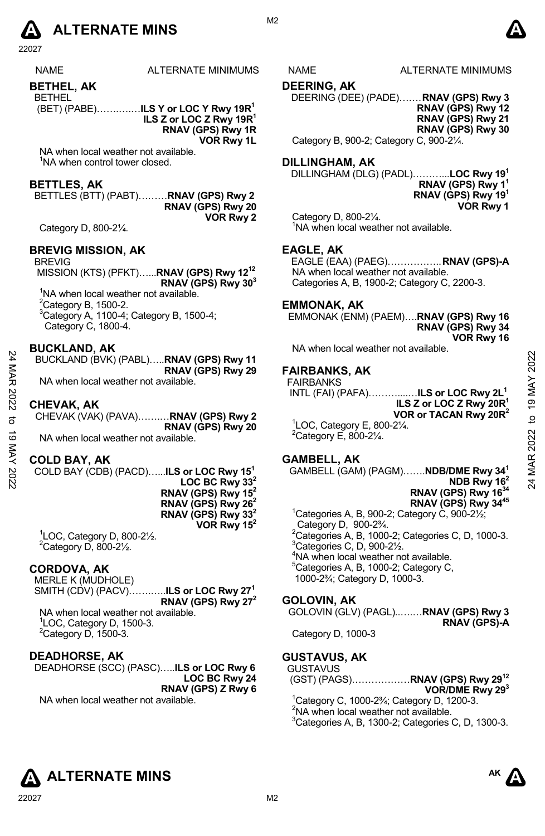

| <b>NAMF</b> | ALTERNATE MINIMUM |
|-------------|-------------------|
| RETUEI AK   |                   |

**BETHEL, AK**  BETHEL

(BET) (PABE)…….….…**ILS Y or LOC Y Rwy 19R1** 

**ILS Z or LOC Z Rwy 19R1 RNAV (GPS) Rwy 1R VOR Rwy 1L** 

NA when local weather not available. <sup>1</sup>NA when control tower closed.

# **BETTLES, AK**

BETTLES (BTT) (PABT)………**RNAV (GPS) Rwy 2 RNAV (GPS) Rwy 20 VOR Rwy 2** 

Category D, 800-2¼.

### **BREVIG MISSION, AK**

BREVIG

 MISSION (KTS) (PFKT)…...**RNAV (GPS) Rwy 1212 RNAV (GPS) Rwy 303**  <sup>1</sup>NA when local weather not available.  $2$ Category B, 1500-2. 3 Category A, 1100-4; Category B, 1500-4; Category C, 1800-4.

**BUCKLAND, AK** 

BUCKLAND (BVK) (PABL)…..**RNAV (GPS) Rwy 11 RNAV (GPS) Rwy 29** 

NA when local weather not available.

#### **CHEVAK, AK**

CHEVAK (VAK) (PAVA)…….…**RNAV (GPS) Rwy 2 RNAV (GPS) Rwy 20**  NA when local weather not available.

#### **COLD BAY, AK**

COLD BAY (CDB) (PACD)…...**ILS or LOC Rwy 151**  LOC BC Rwy 33<sup>2</sup> **RNAV (GPS) Rwy 152 RNAV (GPS) Rwy 262 RNAV (GPS) Rwy 33 VOR Rwy 152** 

1 LOC, Category D, 800-2½.  $2$ Category D, 800-2 $\frac{1}{2}$ .

#### **CORDOVA, AK**

MERLE K (MUDHOLE) SMITH (CDV) (PACV)…….…..**ILS or LOC Rwy 271 RNAV (GPS) Rwy 272** 

NA when local weather not available. 1 LOC, Category D, 1500-3.  $2$ Category D, 1500-3.

#### **DEADHORSE, AK**

DEADHORSE (SCC) (PASC)…..**ILS or LOC Rwy 6 LOC BC Rwy 24 RNAV (GPS) Z Rwy 6**

NA when local weather not available.

AS NAME ALTERNATE MINIMUMS

**DEERING, AK** 

DEERING (DEE) (PADE)…… . **RNAV (GPS) Rwy 3 RNAV (GPS) Rwy 12 RNAV (GPS) Rwy 21 RNAV (GPS) Rwy 30** 

Category B, 900-2; Category C, 900-2¼.

#### **DILLINGHAM, AK**

DILLINGHAM (DLG) (PADL)………...**LOC Rwy 191 RNAV (GPS) Rwy 11 RNAV (GPS) Rwy 191 VOR Rwy 1**

Category D, 800-2¼. <sup>1</sup>NA when local weather not available.

### **EAGLE, AK**

EAGLE (EAA) (PAEG)…………….. **RNAV (GPS)-A**  NA when local weather not available. Categories A, B, 1900-2; Category C, 2200-3.

### **EMMONAK, AK**

EMMONAK (ENM) (PAEM)….**RNAV (GPS) Rwy 16 RNAV (GPS) Rwy 34 VOR Rwy 16** 

NA when local weather not available.

# **FAIRBANKS, AK**

FAIRBANKS

 INTL (FAI) (PAFA)………....…**ILS or LOC Rwy 2L1 ILS Z or LOC Z Rwy 20R1 VOR or TACAN Rwy 20R2**  1 LOC, Category E, 800-2¼. 24 MAR 2022 to 19 MAY 202224 MAR 2022 to 19 MAY 2022

 $2$ Category E, 800-2 $\frac{1}{4}$ .

# **GAMBELL, AK**

GAMBELL (GAM) (PAGM)…….**NDB/DME Rwy 341 NDB Rwy 162** 

**RNAV (GPS) Rwy 1634 RNAV (GPS) Rwy 3445** 

 $1$ Categories A, B, 900-2; Category C, 900-2 $\frac{1}{2}$ ; Category D, 900-2¾.  $^{2}$ Categories A, B, 1000-2; Categories C, D, 1000-3.  ${}^{3}$ Categories C, D, 900-2 $\frac{1}{2}$ . 4 NA when local weather not available. <sup>5</sup>Categories A, B, 1000-2; Category C, 1000-2¾; Category D, 1000-3.

# **GOLOVIN, AK**

GOLOVIN (GLV) (PAGL)..….…**RNAV (GPS) Rwy 3 RNAV (GPS)-A** 

Category D, 1000-3

#### **GUSTAVUS, AK**

- GUSTAVUS (GST) (PAGS)………………**RNAV (GPS) Rwy 2912** 
	- **VOR/DME Rwy 293**  1 Category C, 1000-2¾; Category D, 1200-3. <sup>2</sup>NA when local weather not available.
	- 3 Categories A, B, 1300-2; Categories C, D, 1300-3.





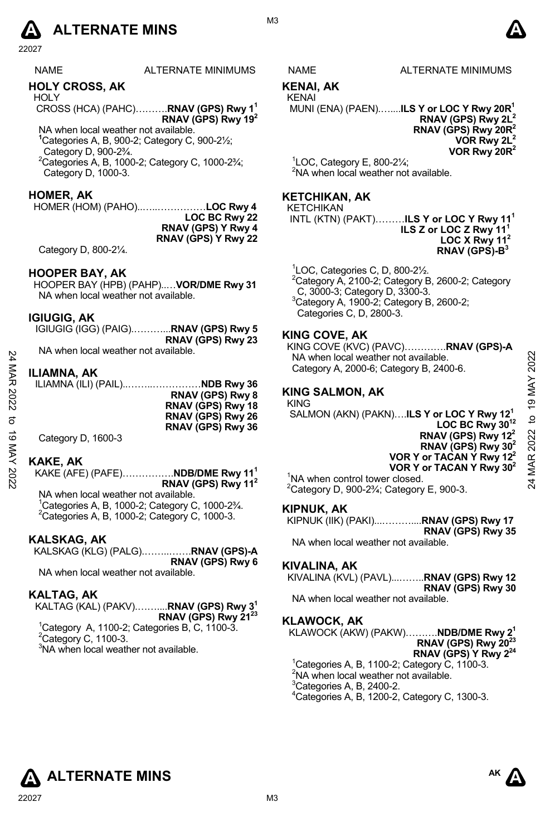# **A** ALTERNATE MINS  $\bullet$

22027

# **HOLY CROSS, AK**

**HOLY** CROSS (HCA) (PAHC)……….**RNAV (GPS) Rwy 11 RNAV (GPS) Rwy 192**

NA when local weather not available. **1** Categories A, B, 900-2; Category C, 900-2½; Category D, 900-2¾.  $2$ Categories A, B, 1000-2; Category C, 1000-2 $\frac{2}{4}$ ;

Category D, 1000-3.

### **HOMER, AK**

HOMER (HOM) (PAHO)..…..……………**LOC Rwy 4 LOC BC Rwy 22 RNAV (GPS) Y Rwy 4 RNAV (GPS) Y Rwy 22**

Category D, 800-2¼.

### **HOOPER BAY, AK**

HOOPER BAY (HPB) (PAHP)..…**VOR/DME Rwy 31**  NA when local weather not available.

#### **IGIUGIG, AK**

| ____<br>IGIUGIG (IGG) (PAIG) <b>RNAV (GPS) Rwy 5</b> |                   |
|------------------------------------------------------|-------------------|
| .                                                    | RNAV (GPS) Rwy 23 |

NA when local weather not available.

#### **ILIAMNA, AK**

|      | <u>INA WIICH IUCAI WEALTCH IUL AVAIIAUIG.</u>                                         | NA when local weather not available.                                                 | ನಿ   |
|------|---------------------------------------------------------------------------------------|--------------------------------------------------------------------------------------|------|
| MAR  | <b>ILIAMNA, AK</b>                                                                    | Category A, 2000-6; Category B, 2400-6.                                              | ່ສ   |
|      | ILIAMNA (ILI) (PAIL)NDB Rwy 36                                                        |                                                                                      |      |
| 2022 | RNAV (GPS) Rwy 8                                                                      | <b>KING SALMON, AK</b>                                                               |      |
|      | RNAV (GPS) Rwy 18                                                                     | <b>KING</b>                                                                          | ග    |
|      | RNAV (GPS) Rwy 26                                                                     | SALMON (AKN) (PAKN)ILS Y or LOC Y Rwy 12 <sup>1</sup><br>LOC BC Rwy 30 <sup>12</sup> | đ    |
| ಕ    | RNAV (GPS) Rwy 36                                                                     | RNAV (GPS) Rwy 12 <sup>2</sup>                                                       |      |
|      | Category D, 1600-3                                                                    | RNAV (GPS) Rwy $302$                                                                 | 2022 |
|      |                                                                                       | VOR Y or TACAN Y Rwy 12 <sup>2</sup>                                                 |      |
|      | <b>KAKE, AK</b>                                                                       | VOR Y or TACAN Y Rwy 30 <sup>2</sup>                                                 | MAR  |
| 2022 | KAKE (AFE) (PAFE) <b>NDB/DME Rwy 11<sup>1</sup></b><br>RNAV (GPS) Rwy 11 <sup>2</sup> | <sup>1</sup> NA when control tower closed.                                           |      |
|      |                                                                                       | $2$ Catagam: D. 000.93/; Catagam: E. 000.9.                                          |      |

#### **KAKE, AK**

KAKE (AFE) (PAFE)…………….**NDB/DME Rwy 111 RNAV (GPS) Rwy 112** NA when local weather not available.

<sup>1</sup> Categories A, B, 1000-2; Category C, 1000-2<sup>3</sup>/<sub>4</sub>.<br><sup>2</sup> Categories A, B, 1000-2; Category C, 1000-2 Categories A, B, 1000-2; Category C, 1000-3.

# **KALSKAG, AK**

KALSKAG (KLG) (PALG).……..…….**RNAV (GPS)-A RNAV (GPS) Rwy 6** 

NA when local weather not available.

## **KALTAG, AK**

#### KALTAG (KAL) (PAKV).……....**RNAV (GPS) Rwy 31 RNAV (GPS) Rwy 2123**

- $1$ Category A, 1100-2; Categories B, C, 1100-3.  $2$ Category C, 1100-3.
- <sup>3</sup>NA when local weather not available.

S NAME ALTERNATE MINIMUMS

# **KENAI, AK**

# KENAI

MUNI (ENA) (PAEN).…....**ILS Y or LOC Y Rwy 20R1** 

**RNAV (GPS) Rwy 2L2 RNAV (GPS) Rwy 20R2 VOR Rwy 2L2 VOR Rwy 20R2** 

 ${}^{1}$ LOC, Category E, 800-2 $\frac{1}{4}$ ; <sup>2</sup>NA when local weather not available.

### **KETCHIKAN, AK**

#### KETCHIKAN

 INTL (KTN) (PAKT)………**ILS Y or LOC Y Rwy 111 ILS Z or LOC Z Rwy 11 LOC X Rwy 11<sup>2</sup> RNAV (GPS)-B3**

1 LOC, Categories C, D, 800-2½.

 $2$ Category A, 2100-2; Category B, 2600-2; Category C, 3000-3; Category D, 3300-3.  $3$ Category A, 1900-2; Category B, 2600-2; Categories C, D, 2800-3.

#### **KING COVE, AK**

KING COVE (KVC) (PAVC)………….**RNAV (GPS)-A**  NA when local weather not available. Category A, 2000-6; Category B, 2400-6.

#### **KING SALMON, AK**

<sup>1</sup>NA when control tower closed.  $^{2}$ Category D, 900-2¾; Category E, 900-3.

#### **KIPNUK, AK**

KIPNUK (IIK) (PAKI)...………....**RNAV (GPS) Rwy 17 RNAV (GPS) Rwy 35**  NA when local weather not available.

# **KIVALINA, AK**

KIVALINA (KVL) (PAVL)...……..**RNAV (GPS) Rwy 12** 

**RNAV (GPS) Rwy 30** 

NA when local weather not available.

#### **KLAWOCK, AK**

KLAWOCK (AKW) (PAKW)……….**NDB/DME Rwy 21 RNAV (GPS) Rwy 20<sup>23</sup>** 

**RNAV (GPS) Y Rwy 224** 

- 1 Categories A, B, 1100-2; Category C, 1100-3. <sup>2</sup>NA when local weather not available.
- $3$ Categories A, B, 2400-2.
- 4 Categories A, B, 1200-2, Category C, 1300-3.



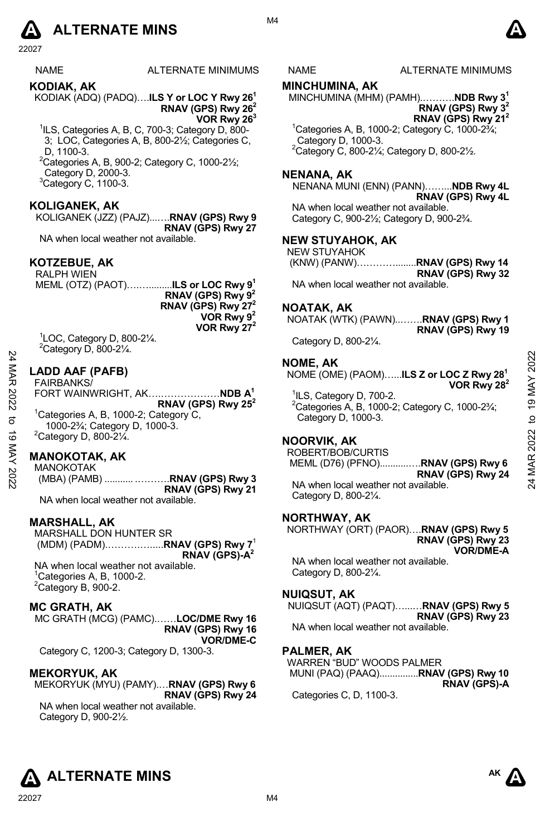# **A** ALTERNATE MINS  $\bullet$

22027

| <b>NAME</b> | ALTERNATE MINIMUMS |
|-------------|--------------------|
|             |                    |

KODIAK (ADQ) (PADQ)….**ILS Y or LOC Y Rwy 261 RNAV (GPS) Rwy 262**

**VOR Rwy 263**

- <sup>1</sup>ILS, Categories A, B, C, 700-3; Category D, 800-3; LOC, Categories A, B, 800-2½; Categories C, D, 1100-3.
- $2^2$ Categories A, B, 900-2; Category C, 1000-2 $\frac{1}{2}$ ; Category D, 2000-3.  $3$ Category C, 1100-3.

# **KOLIGANEK, AK**

**KODIAK, AK** 

KOLIGANEK (JZZ) (PAJZ)...….**RNAV (GPS) Rwy 9 RNAV (GPS) Rwy 27** 

NA when local weather not available.

# **KOTZEBUE, AK**

RALPH WIEN MEML (OTZ) (PAOT)….….........**ILS or LOC Rwy 91 RNAV (GPS) Rwy 92 RNAV (GPS) Rwy 272 VOR Rwy 92 VOR Rwy 272** 

1 LOC, Category D, 800-2¼.  $2$ Category D, 800-2 $\frac{1}{4}$ .

#### **LADD AAF (PAFB)**  FAIRBANKS/

FORT WAINWRIGHT, AK….………………**NDB A1 RNAV (GPS) Rwy 252**  <sup>1</sup>Categories A, B, 1000-2; Category C, 1000-2¾; Category D, 1000-3.  $2$ Category D, 800-2 $\frac{1}{4}$ . 24 MAR 2022 to 19 MAY 202224 MAR 2022 to 19 MAY 2022

# **MANOKOTAK, AK**

MANOKOTAK (MBA) (PAMB) ........... .……….**RNAV (GPS) Rwy 3 RNAV (GPS) Rwy 21**  NA when local weather not available.

#### **MARSHALL, AK**

MARSHALL DON HUNTER SR (MDM) (PADM).……….….....**RNAV (GPS) Rwy 7**<sup>1</sup> **RNAV (GPS)-A2**

NA when local weather not available.  $1$ <sup>1</sup>Categories A, B, 1000-2.  $2$ Category B, 900-2.

#### **MC GRATH, AK**

MC GRATH (MCG) (PAMC).……**LOC/DME Rwy 16 RNAV (GPS) Rwy 16 VOR/DME-C** 

Category C, 1200-3; Category D, 1300-3.

#### **MEKORYUK, AK**

MEKORYUK (MYU) (PAMY).…**RNAV (GPS) Rwy 6 RNAV (GPS) Rwy 24** 

NA when local weather not available. Category D, 900-2½.

NAME ALTERNATE MINIMUMS

#### **MINCHUMINA, AK**

MINCHUMINA (MHM) (PAMH).……….**NDB Rwy 31 RNAV (GPS) Rwy 32 RNAV (GPS) Rwy 212**  $1$ Categories A, B, 1000-2; Category C, 1000-2 $\frac{3}{4}$ ;

Category D, 1000-3.  $2^2$ Category C, 800-21/<sub>4</sub>; Category D, 800-21/2.

#### **NENANA, AK**

NENANA MUNI (ENN) (PANN)……...**NDB Rwy 4L RNAV (GPS) Rwy 4L**  NA when local weather not available. Category C, 900-2½; Category D, 900-2¾.

#### **NEW STUYAHOK, AK**

NEW STUYAHOK<br>(KNW) (PANW)...... (KNW) (PANW)…………........**RNAV (GPS) Rwy 14 RNAV (GPS) Rwy 32** 

NA when local weather not available.

#### **NOATAK, AK**

NOATAK (WTK) (PAWN)..…….**RNAV (GPS) Rwy 1 RNAV (GPS) Rwy 19** 

Category D, 800-2¼.

#### **NOME, AK**

NOME (OME) (PAOM)…...**ILS Z or LOC Z Rwy 281 VOR Rwy 282**

<sup>1</sup>ILS, Category D, 700-2. 2 Categories A, B, 1000-2; Category C, 1000-2¾; Category D, 1000-3.

#### **NOORVIK, AK**

ROBERT/BOB/CURTIS MEML (D76) (PFNO)...........….**RNAV (GPS) Rwy 6** 

**RNAV (GPS) Rwy 24**  NA when local weather not available. Category D, 800-2¼.

#### **NORTHWAY, AK**

NORTHWAY (ORT) (PAOR)….**RNAV (GPS) Rwy 5 RNAV (GPS) Rwy 23 VOR/DME-A** 

NA when local weather not available. Category D, 800-2¼.

#### **NUIQSUT, AK**

NUIQSUT (AQT) (PAQT)…...…**RNAV (GPS) Rwy 5 RNAV (GPS) Rwy 23**  NA when local weather not available.

#### **PALMER, AK**

WARREN "BUD" WOODS PALMER MUNI (PAQ) (PAAQ)...............**RNAV (GPS) Rwy 10 RNAV (GPS)-A** 

Categories C, D, 1100-3.



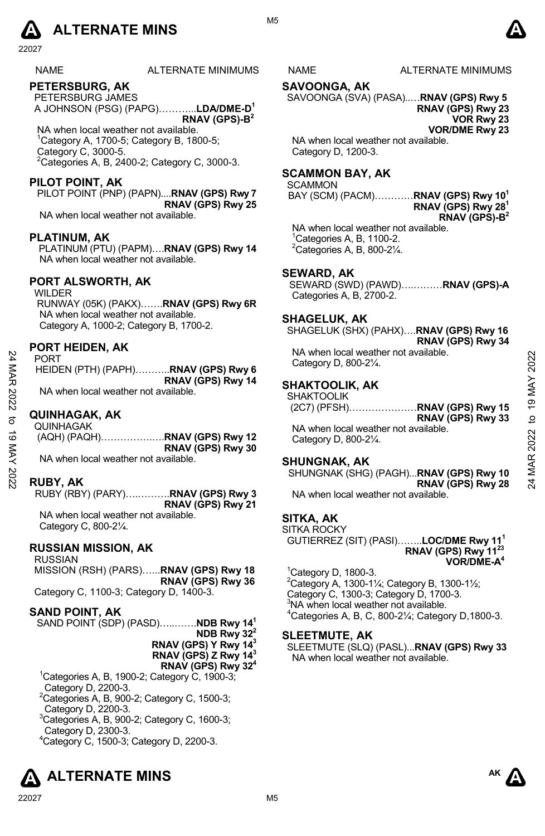

NAME ALTERNATE MINIMUMS NAME ALTERNATE MINIMUMS

# **PETERSBURG, AK**

PETERSBURG JAMES A JOHNSON (PSG) (PAPG)………...**LDA/DME-D1 RNAV (GPS)-B2**

 NA when local weather not available. 1 Category A, 1700-5; Category B, 1800-5; Category C, 3000-5.  $2$ Categories A, B, 2400-2; Category C, 3000-3.

# **PILOT POINT, AK**

PILOT POINT (PNP) (PAPN)....**RNAV (GPS) Rwy 7 RNAV (GPS) Rwy 25** 

NA when local weather not available.

#### **PLATINUM, AK**

PLATINUM (PTU) (PAPM)….**RNAV (GPS) Rwy 14**  NA when local weather not available.

# **PORT ALSWORTH, AK**

WILDER RUNWAY (05K) (PAKX)…….**RNAV (GPS) Rwy 6R**  NA when local weather not available. Category A, 1000-2; Category B, 1700-2.

#### **PORT HEIDEN, AK**

PORT HEIDEN (PTH) (PAPH)………..**RNAV (GPS) Rwy 6 RNAV (GPS) Rwy 14**  NA when local weather not available.

### **QUINHAGAK, AK**

QUINHAGAK (AQH) (PAQH)…………….….**RNAV (GPS) Rwy 12 RNAV (GPS) Rwy 30**  NA when local weather not available. 24 MAR 2022 to 19 MAY 202224 MAR 2022 to 19 MAY 2022

### **RUBY, AK**

RUBY (RBY) (PARY)….……….**RNAV (GPS) Rwy 3 RNAV (GPS) Rwy 21** 

NA when local weather not available. Category C, 800-2¼.

#### **RUSSIAN MISSION, AK**

RUSSIAN MISSION (RSH) (PARS)…...**RNAV (GPS) Rwy 18 RNAV (GPS) Rwy 36** Category C, 1100-3; Category D, 1400-3.

# **SAND POINT, AK**

SAND POINT (SDP) (PASD)…..…….**NDB Rwy 141**

**NDB Rwy 322 RNAV (GPS) Y Rwy 143**

**RNAV (GPS) Z Rwy 143**

**RNAV (GPS) Rwy 324**

- 1 Categories A, B, 1900-2; Category C, 1900-3; Category D, 2200-3.
- ${}^{2}$ Categories A, B, 900-2; Category C, 1500-3; Category D, 2200-3.
- 3 Categories A, B, 900-2; Category C, 1600-3; Category D, 2300-3.

4 Category C, 1500-3; Category D, 2200-3.



#### **SAVOONGA, AK**

SAVOONGA (SVA) (PASA)..…**RNAV (GPS) Rwy 5 RNAV (GPS) Rwy 23 VOR Rwy 23** 

**VOR/DME Rwy 23** 

NA when local weather not available. Category D, 1200-3.

# **SCAMMON BAY, AK**

**SCAMMON** 

BAY (SCM) (PACM)…………**RNAV (GPS) Rwy 101 RNAV (GPS) Rwy 281 RNAV (GPS)-B2**

NA when local weather not available.  $1$ <sup>1</sup>Categories A, B, 1100-2.  ${}^{2}$ Categories A, B, 800-21⁄4.

# **SEWARD, AK**

SEWARD (SWD) (PAWD)….………**RNAV (GPS)-A**  Categories A, B, 2700-2.

#### **SHAGELUK, AK**

SHAGELUK (SHX) (PAHX)….**RNAV (GPS) Rwy 16 RNAV (GPS) Rwy 34**  NA when local weather not available. Category D, 800-2¼.

# **SHAKTOOLIK, AK**

SHAKTOOLIK (2C7) (PFSH)…………………**RNAV (GPS) Rwy 15 RNAV (GPS) Rwy 33** 

NA when local weather not available. Category D, 800-2¼.

### **SHUNGNAK, AK**

SHUNGNAK (SHG) (PAGH)...**RNAV (GPS) Rwy 10 RNAV (GPS) Rwy 28** 

NA when local weather not available.

# **SITKA, AK**

SITKA ROCKY GUTIERREZ (SIT) (PASI)……..**LOC/DME Rwy 111 RNAV (GPS) Rwy 1123 VOR/DME-A4**

#### 1 Category D, 1800-3.

 $^{2}$ Category A, 1300-11⁄4; Category B, 1300-11⁄2; Category C, 1300-3; Category D, 1700-3.<br><sup>3</sup>NA when local weather not available.  $4$ Categories A, B, C, 800-21⁄<sub>4</sub>; Category D,1800-3.

#### **SLEETMUTE, AK**

SLEETMUTE (SLQ) (PASL)...**RNAV (GPS) Rwy 33**  NA when local weather not available.



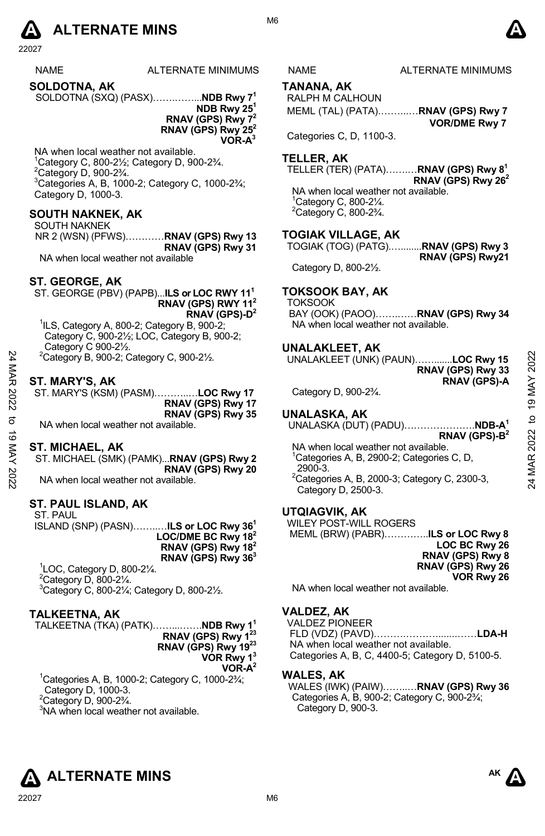

| <b>NAME</b>         | ALTERNATE MINIMUMS |
|---------------------|--------------------|
| <b>SOLDOTNA, AK</b> |                    |

SOLDOTNA (SXQ) (PASX)…….……...**NDB Rwy 71**

**NDB Rwy 251 RNAV (GPS) Rwy 72 RNAV (GPS) Rwy 252** 

 **VOR-A3**

NA when local weather not available.  $1$ Category C, 800-2 $\frac{1}{2}$ ; Category D, 900-2 $\frac{3}{4}$ .  $2$ Category D, 900-2 $\frac{3}{4}$ .  $3$ Categories A, B, 1000-2; Category C, 1000-2 $\frac{3}{4}$ ; Category D, 1000-3.

# **SOUTH NAKNEK, AK**

SOUTH NAKNEK NR 2 (WSN) (PFWS)…………**RNAV (GPS) Rwy 13 RNAV (GPS) Rwy 31**  NA when local weather not available

### **ST. GEORGE, AK**

ST. GEORGE (PBV) (PAPB)...**ILS or LOC RWY 111 RNAV (GPS) RWY 112 RNAV (GPS)-D2**

1 ILS, Category A, 800-2; Category B, 900-2; Category C, 900-2½; LOC, Category B, 900-2; Category C 900-2½.

 $2$ Category B, 900-2; Category C, 900-2 $\frac{1}{2}$ .

#### **ST. MARY'S, AK**

ST. MARY'S (KSM) (PASM)………..…**LOC Rwy 17 RNAV (GPS) Rwy 17 RNAV (GPS) Rwy 35** 

NA when local weather not available.

#### **ST. MICHAEL, AK**

ST. MICHAEL (SMK) (PAMK)...**RNAV (GPS) Rwy 2 RNAV (GPS) Rwy 20**  NA when local weather not available.

#### **ST. PAUL ISLAND, AK**

ST. PAUL ISLAND (SNP) (PASN)……..…**ILS or LOC Rwy 361 LOC/DME BC Rwy 182 RNAV (GPS) Rwy 182 RNAV (GPS) Rwy 363** 1 LOC, Category D, 800-2¼.  $2$ Category D, 800-2 $\frac{1}{4}$ . 3 Category C, 800-2¼; Category D, 800-2½.

**TALKEETNA, AK** 

TALKEETNA (TKA) (PATK)……...…….**NDB Rwy 11 RNAV (GPS) Rwy 123** 

**RNAV (GPS) Rwy 1923 VOR Rwy 13**

**VOR-A2**

1 Categories A, B, 1000-2; Category C, 1000-2¾; Category D, 1000-3.  $2$ Category D, 900-2 $\frac{3}{4}$ .

<sup>3</sup>NA when local weather not available.

#### NAME ALTERNATE MINIMUMS

**TANANA, AK** 

RALPH M CALHOUN MEML (TAL) (PATA).……...…**RNAV (GPS) Rwy 7 VOR/DME Rwy 7**

Categories C, D, 1100-3.

#### **TELLER, AK**

TELLER (TER) (PATA)…….…**RNAV (GPS) Rwy 81 RNAV (GPS) Rwy 262**  NA when local weather not available. 1 Category C, 800-2¼.  $2$ Category C, 800-2 $\frac{3}{4}$ .

#### **TOGIAK VILLAGE, AK**

TOGIAK (TOG) (PATG).…........**RNAV (GPS) Rwy 3 RNAV (GPS) Rwy21** 

Category D, 800-2½.

# **TOKSOOK BAY, AK**

TOKSOOK

BAY (OOK) (PAOO)…….……**RNAV (GPS) Rwy 34**  NA when local weather not available.

#### **UNALAKLEET, AK**

UNALAKLEET (UNK) (PAUN)…….......**LOC Rwy 15 RNAV (GPS) Rwy 33 RNAV (GPS)-A**

Category D, 900-2¾.

# **UNALASKA, AK**

UNALASKA (DUT) (PADU)………………….**NDB-A1** 

**RNAV (GPS)-B2**  NA when local weather not available. <sup>1</sup>Categories A, B, 2900-2; Categories C, D, 2900-3. <sup>2</sup> Categories A, B, 2000-3; Category C, 2300-3, 24 MAR 2022 to 19 MAY 202224 MAR 2022 to 19 MAY 2022

Category D, 2500-3.

### **UTQIAGVIK, AK**

WILEY POST-WILL ROGERS

 MEML (BRW) (PABR)…………..**ILS or LOC Rwy 8 LOC BC Rwy 26 RNAV (GPS) Rwy 8 RNAV (GPS) Rwy 26 VOR Rwy 26** 

NA when local weather not available.

# **VALDEZ, AK**

VALDEZ PIONEER FLD (VDZ) (PAVD)……….………........……**LDA-H** NA when local weather not available. Categories A, B, C, 4400-5; Category D, 5100-5.

#### **WALES, AK**

WALES (IWK) (PAIW)……..…**RNAV (GPS) Rwy 36** Categories A, B, 900-2; Category C, 900-2¾; Category D, 900-3.